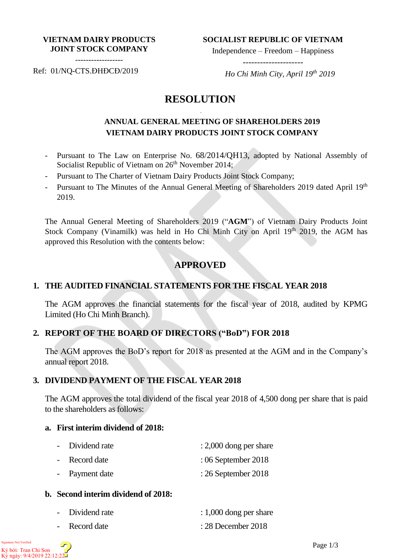#### **VIETNAM DAIRY PRODUCTS JOINT STOCK COMPANY**

**SOCIALIST REPUBLIC OF VIETNAM**

Independence – Freedom – Happiness ---------------------

------------------

Ref: 01/NQ-CTS.ĐHĐCĐ/2019

 *Ho Chi Minh City, April 19th 2019*

# **RESOLUTION**

-

## **ANNUAL GENERAL MEETING OF SHAREHOLDERS 2019 VIETNAM DAIRY PRODUCTS JOINT STOCK COMPANY**

- Pursuant to The Law on Enterprise No. 68/2014/QH13, adopted by National Assembly of Socialist Republic of Vietnam on  $26<sup>th</sup>$  November 2014;
- Pursuant to The Charter of Vietnam Dairy Products Joint Stock Company;
- Pursuant to The Minutes of the Annual General Meeting of Shareholders 2019 dated April 19<sup>th</sup> 2019.

The Annual General Meeting of Shareholders 2019 ("**AGM**") of Vietnam Dairy Products Joint Stock Company (Vinamilk) was held in Ho Chi Minh City on April  $19<sup>th</sup>$  2019, the AGM has approved this Resolution with the contents below:

# **APPROVED**

## **1. THE AUDITED FINANCIAL STATEMENTS FOR THE FISCAL YEAR 2018**

The AGM approves the financial statements for the fiscal year of 2018, audited by KPMG Limited (Ho Chi Minh Branch).

## **2. REPORT OF THE BOARD OF DIRECTORS ("BoD") FOR 2018**

The AGM approves the BoD's report for 2018 as presented at the AGM and in the Company's annual report 2018.

## **3. DIVIDEND PAYMENT OF THE FISCAL YEAR 2018**

The AGM approves the total dividend of the fiscal year 2018 of 4,500 dong per share that is paid to the shareholders as follows:

#### **a. First interim dividend of 2018:**

| - Dividend rate | $: 2,000$ dong per share |
|-----------------|--------------------------|
| - Record date   | $:06$ September 2018     |
| - Payment date  | $: 26$ September 2018    |

## **b. Second interim dividend of 2018:**

| - Dividend rate | $: 1,000$ dong per share |
|-----------------|--------------------------|
| - Record date   | $: 28$ December 2018     |

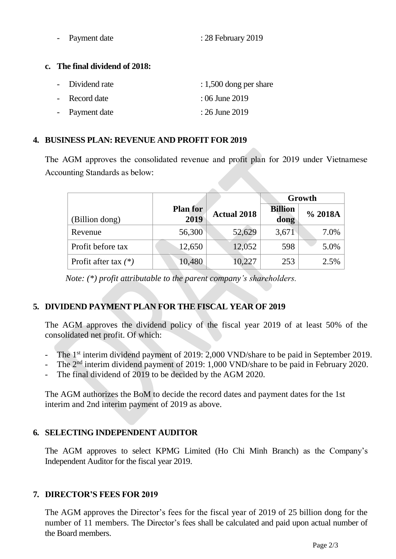| Payment date | : 28 February 2019 |  |
|--------------|--------------------|--|
|              |                    |  |

#### **c. The final dividend of 2018:**

| - Dividend rate | $: 1,500$ dong per share |
|-----------------|--------------------------|
| - Record date   | : 06 June 2019           |
| - Payment date  | : 26 June 2019           |

## **4. BUSINESS PLAN: REVENUE AND PROFIT FOR 2019**

The AGM approves the consolidated revenue and profit plan for 2019 under Vietnamese Accounting Standards as below:

|                        |                         |                    | Growth                 |         |
|------------------------|-------------------------|--------------------|------------------------|---------|
| (Billion dong)         | <b>Plan for</b><br>2019 | <b>Actual 2018</b> | <b>Billion</b><br>dong | % 2018A |
| Revenue                | 56,300                  | 52,629             | 3,671                  | 7.0%    |
| Profit before tax      | 12,650                  | 12,052             | 598                    | 5.0%    |
| Profit after tax $(*)$ | 10,480                  | 10,227             | 253                    | 2.5%    |

 *Note: (\*) profit attributable to the parent company's shareholders.*

# **5. DIVIDEND PAYMENT PLAN FOR THE FISCAL YEAR OF 2019**

The AGM approves the dividend policy of the fiscal year 2019 of at least 50% of the consolidated net profit. Of which:

- The 1<sup>st</sup> interim dividend payment of 2019: 2,000 VND/share to be paid in September 2019.
- The 2<sup>nd</sup> interim dividend payment of 2019: 1,000 VND/share to be paid in February 2020.
- The final dividend of 2019 to be decided by the AGM 2020.

The AGM authorizes the BoM to decide the record dates and payment dates for the 1st interim and 2nd interim payment of 2019 as above.

# **6. SELECTING INDEPENDENT AUDITOR**

The AGM approves to select KPMG Limited (Ho Chi Minh Branch) as the Company's Independent Auditor for the fiscal year 2019.

## **7. DIRECTOR'S FEES FOR 2019**

The AGM approves the Director's fees for the fiscal year of 2019 of 25 billion dong for the number of 11 members. The Director's fees shall be calculated and paid upon actual number of the Board members.